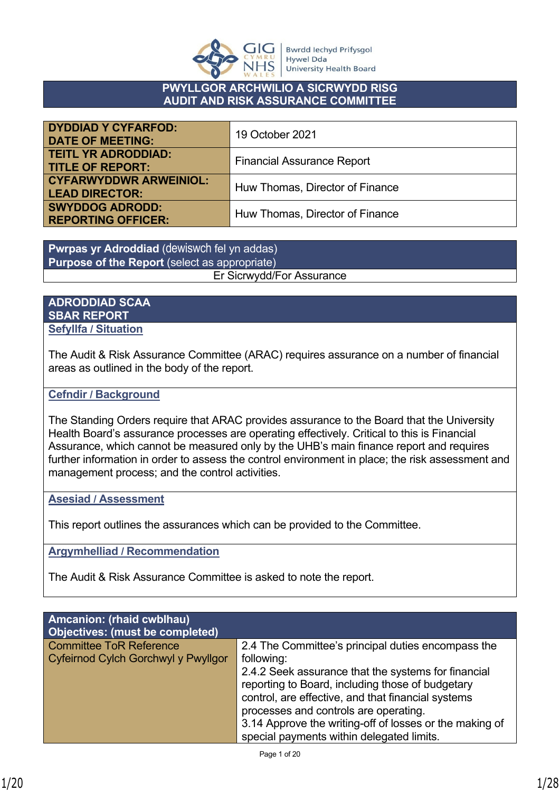

### **PWYLLGOR ARCHWILIO A SICRWYDD RISG AUDIT AND RISK ASSURANCE COMMITTEE**

| <b>DYDDIAD Y CYFARFOD:</b><br><b>DATE OF MEETING:</b>  | 19 October 2021                   |
|--------------------------------------------------------|-----------------------------------|
| <b>TEITL YR ADRODDIAD:</b><br><b>TITLE OF REPORT:</b>  | <b>Financial Assurance Report</b> |
| <b>CYFARWYDDWR ARWEINIOL:</b><br><b>LEAD DIRECTOR:</b> | Huw Thomas, Director of Finance   |
| <b>SWYDDOG ADRODD:</b><br><b>REPORTING OFFICER:</b>    | Huw Thomas, Director of Finance   |

**Pwrpas yr Adroddiad** (dewiswch fel yn addas) **Purpose of the Report** (select as appropriate) Er Sicrwydd/For Assurance

### **ADRODDIAD SCAA SBAR REPORT Sefyllfa / Situation**

The Audit & Risk Assurance Committee (ARAC) requires assurance on a number of financial areas as outlined in the body of the report.

### **Cefndir / Background**

The Standing Orders require that ARAC provides assurance to the Board that the University Health Board's assurance processes are operating effectively. Critical to this is Financial Assurance, which cannot be measured only by the UHB's main finance report and requires further information in order to assess the control environment in place; the risk assessment and management process; and the control activities.

**Asesiad / Assessment**

This report outlines the assurances which can be provided to the Committee.

**Argymhelliad / Recommendation**

The Audit & Risk Assurance Committee is asked to note the report.

| <b>Amcanion: (rhaid cwblhau)</b><br>Objectives: (must be completed) |                                                         |  |  |  |
|---------------------------------------------------------------------|---------------------------------------------------------|--|--|--|
| <b>Committee ToR Reference</b>                                      | 2.4 The Committee's principal duties encompass the      |  |  |  |
| Cyfeirnod Cylch Gorchwyl y Pwyllgor                                 | following:                                              |  |  |  |
|                                                                     | 2.4.2 Seek assurance that the systems for financial     |  |  |  |
|                                                                     | reporting to Board, including those of budgetary        |  |  |  |
|                                                                     | control, are effective, and that financial systems      |  |  |  |
|                                                                     | processes and controls are operating.                   |  |  |  |
|                                                                     | 3.14 Approve the writing-off of losses or the making of |  |  |  |
|                                                                     | special payments within delegated limits.               |  |  |  |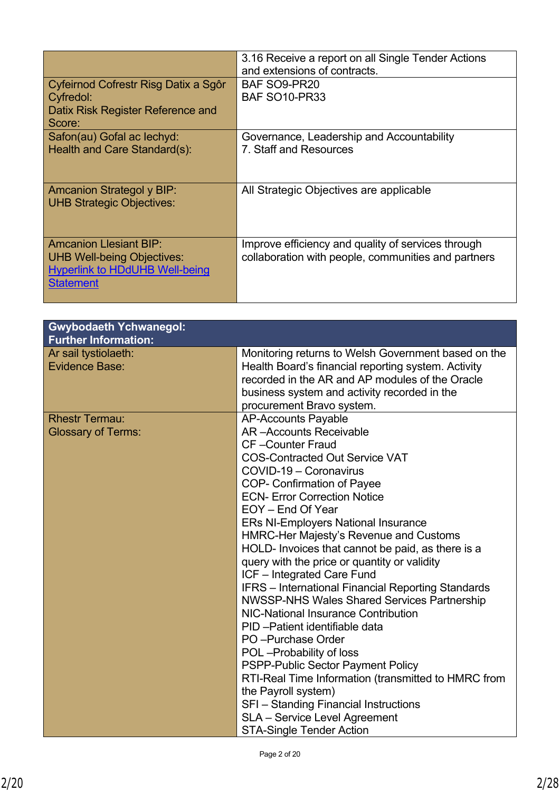|                                                                            | 3.16 Receive a report on all Single Tender Actions<br>and extensions of contracts. |
|----------------------------------------------------------------------------|------------------------------------------------------------------------------------|
| Cyfeirnod Cofrestr Risg Datix a Sgôr                                       | BAF SO9-PR20                                                                       |
| Cyfredol:                                                                  | <b>BAF SO10-PR33</b>                                                               |
| Datix Risk Register Reference and<br>Score:                                |                                                                                    |
| Safon(au) Gofal ac lechyd:                                                 | Governance, Leadership and Accountability                                          |
| Health and Care Standard(s):                                               | 7. Staff and Resources                                                             |
| <b>Amcanion Strategol y BIP:</b>                                           | All Strategic Objectives are applicable                                            |
| <b>UHB Strategic Objectives:</b>                                           |                                                                                    |
| <b>Amcanion Llesiant BIP:</b>                                              | Improve efficiency and quality of services through                                 |
| <b>UHB Well-being Objectives:</b><br><b>Hyperlink to HDdUHB Well-being</b> | collaboration with people, communities and partners                                |
| <b>Statement</b>                                                           |                                                                                    |
|                                                                            |                                                                                    |

| <b>Gwybodaeth Ychwanegol:</b><br><b>Further Information:</b> |                                                           |
|--------------------------------------------------------------|-----------------------------------------------------------|
| Ar sail tystiolaeth:                                         | Monitoring returns to Welsh Government based on the       |
| <b>Evidence Base:</b>                                        | Health Board's financial reporting system. Activity       |
|                                                              | recorded in the AR and AP modules of the Oracle           |
|                                                              | business system and activity recorded in the              |
|                                                              | procurement Bravo system.                                 |
| <b>Rhestr Termau:</b>                                        | <b>AP-Accounts Payable</b>                                |
| <b>Glossary of Terms:</b>                                    | AR-Accounts Receivable                                    |
|                                                              | <b>CF-Counter Fraud</b>                                   |
|                                                              | <b>COS-Contracted Out Service VAT</b>                     |
|                                                              | COVID-19 - Coronavirus                                    |
|                                                              | <b>COP- Confirmation of Payee</b>                         |
|                                                              | <b>ECN- Error Correction Notice</b>                       |
|                                                              | EOY - End Of Year                                         |
|                                                              | <b>ERs NI-Employers National Insurance</b>                |
|                                                              | <b>HMRC-Her Majesty's Revenue and Customs</b>             |
|                                                              | HOLD- Invoices that cannot be paid, as there is a         |
|                                                              | query with the price or quantity or validity              |
|                                                              | ICF - Integrated Care Fund                                |
|                                                              | <b>IFRS</b> – International Financial Reporting Standards |
|                                                              | <b>NWSSP-NHS Wales Shared Services Partnership</b>        |
|                                                              | NIC-National Insurance Contribution                       |
|                                                              | PID-Patient identifiable data                             |
|                                                              | PO-Purchase Order                                         |
|                                                              | POL-Probability of loss                                   |
|                                                              | PSPP-Public Sector Payment Policy                         |
|                                                              | RTI-Real Time Information (transmitted to HMRC from       |
|                                                              | the Payroll system)                                       |
|                                                              | SFI - Standing Financial Instructions                     |
|                                                              | SLA - Service Level Agreement                             |
|                                                              | <b>STA-Single Tender Action</b>                           |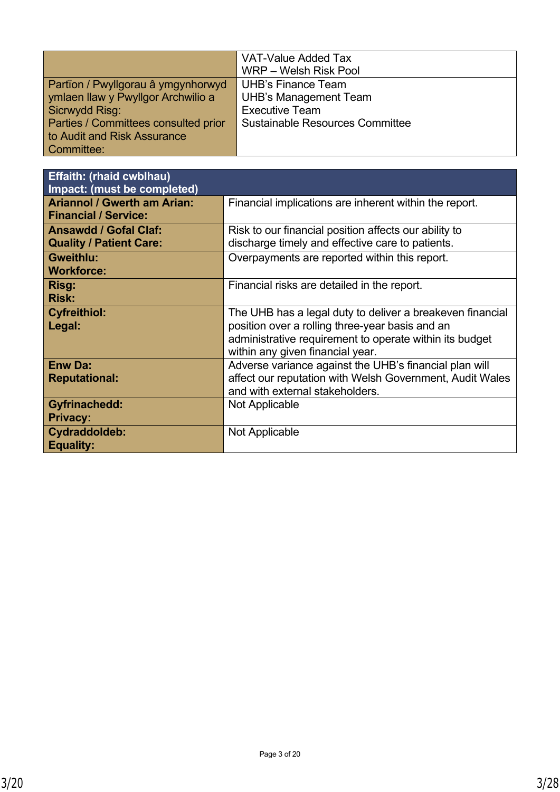| VAT-Value Added Tax                    |
|----------------------------------------|
| WRP – Welsh Risk Pool                  |
| <b>UHB's Finance Team</b>              |
| UHB's Management Team                  |
| <b>Executive Team</b>                  |
| <b>Sustainable Resources Committee</b> |
|                                        |
|                                        |
|                                        |

| <b>Effaith: (rhaid cwblhau)</b><br>Impact: (must be completed)    |                                                                                                                                                                                                             |
|-------------------------------------------------------------------|-------------------------------------------------------------------------------------------------------------------------------------------------------------------------------------------------------------|
| <b>Ariannol / Gwerth am Arian:</b><br><b>Financial / Service:</b> | Financial implications are inherent within the report.                                                                                                                                                      |
| <b>Ansawdd / Gofal Claf:</b><br><b>Quality / Patient Care:</b>    | Risk to our financial position affects our ability to<br>discharge timely and effective care to patients.                                                                                                   |
| <b>Gweithlu:</b><br><b>Workforce:</b>                             | Overpayments are reported within this report.                                                                                                                                                               |
| Risg:<br><b>Risk:</b>                                             | Financial risks are detailed in the report.                                                                                                                                                                 |
| <b>Cyfreithiol:</b><br>Legal:                                     | The UHB has a legal duty to deliver a breakeven financial<br>position over a rolling three-year basis and an<br>administrative requirement to operate within its budget<br>within any given financial year. |
| <b>Enw Da:</b><br><b>Reputational:</b>                            | Adverse variance against the UHB's financial plan will<br>affect our reputation with Welsh Government, Audit Wales<br>and with external stakeholders.                                                       |
| <b>Gyfrinachedd:</b><br><b>Privacy:</b>                           | Not Applicable                                                                                                                                                                                              |
| Cydraddoldeb:<br><b>Equality:</b>                                 | Not Applicable                                                                                                                                                                                              |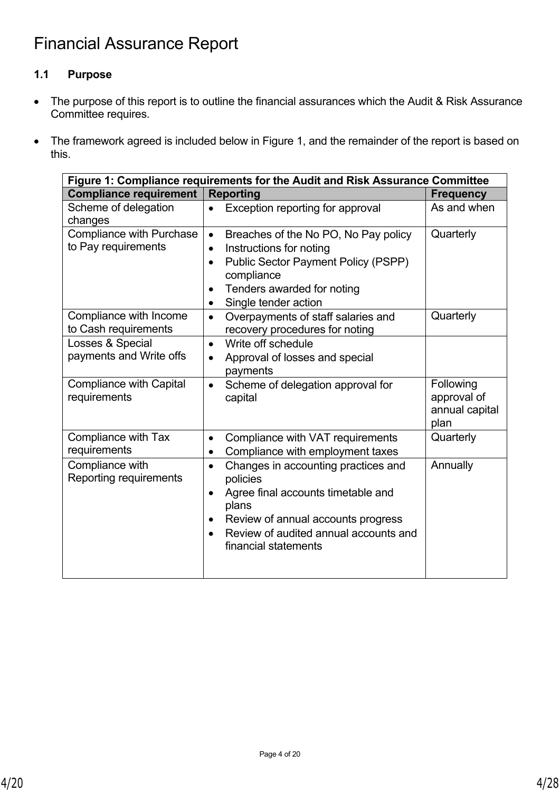### **1.1 Purpose**

- The purpose of this report is to outline the financial assurances which the Audit & Risk Assurance Committee requires.
- The framework agreed is included below in Figure 1, and the remainder of the report is based on this.

| Figure 1: Compliance requirements for the Audit and Risk Assurance Committee |                                                                                                                                                                                                                                       |                                                    |  |  |  |
|------------------------------------------------------------------------------|---------------------------------------------------------------------------------------------------------------------------------------------------------------------------------------------------------------------------------------|----------------------------------------------------|--|--|--|
| <b>Compliance requirement</b>                                                | <b>Reporting</b>                                                                                                                                                                                                                      | <b>Frequency</b>                                   |  |  |  |
| Scheme of delegation<br>changes                                              | Exception reporting for approval<br>$\bullet$                                                                                                                                                                                         | As and when                                        |  |  |  |
| <b>Compliance with Purchase</b><br>to Pay requirements                       | Breaches of the No PO, No Pay policy<br>$\bullet$<br>Instructions for noting<br>$\bullet$<br><b>Public Sector Payment Policy (PSPP)</b><br>$\bullet$<br>compliance<br>Tenders awarded for noting<br>Single tender action<br>$\bullet$ | Quarterly                                          |  |  |  |
| Compliance with Income<br>to Cash requirements                               | Overpayments of staff salaries and<br>$\bullet$<br>recovery procedures for noting                                                                                                                                                     | Quarterly                                          |  |  |  |
| Losses & Special<br>payments and Write offs                                  | Write off schedule<br>$\bullet$<br>Approval of losses and special<br>$\bullet$<br>payments                                                                                                                                            |                                                    |  |  |  |
| <b>Compliance with Capital</b><br>requirements                               | Scheme of delegation approval for<br>$\bullet$<br>capital                                                                                                                                                                             | Following<br>approval of<br>annual capital<br>plan |  |  |  |
| Compliance with Tax<br>requirements                                          | Compliance with VAT requirements<br>$\bullet$<br>Compliance with employment taxes<br>$\bullet$                                                                                                                                        | Quarterly                                          |  |  |  |
| Compliance with<br>Reporting requirements                                    | Changes in accounting practices and<br>$\bullet$<br>policies<br>Agree final accounts timetable and<br>plans<br>Review of annual accounts progress<br>Review of audited annual accounts and<br>financial statements                    | Annually                                           |  |  |  |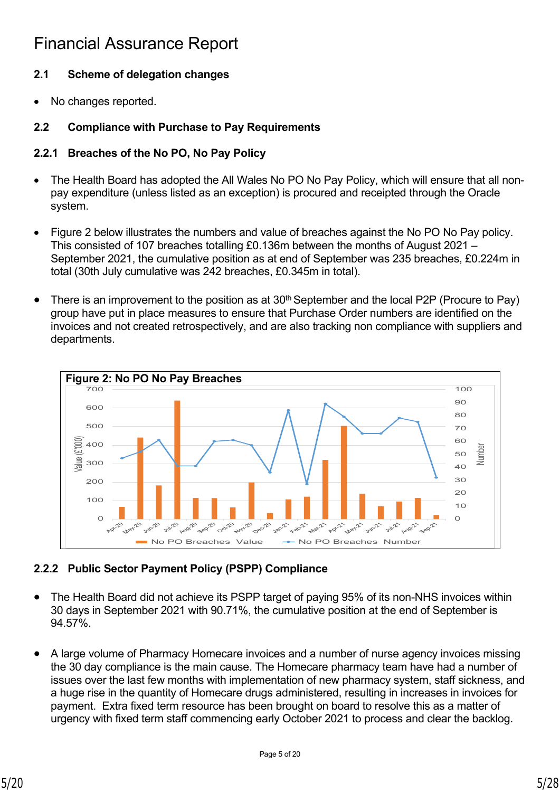### **2.1 Scheme of delegation changes**

• No changes reported.

### **2.2 Compliance with Purchase to Pay Requirements**

### **2.2.1 Breaches of the No PO, No Pay Policy**

- The Health Board has adopted the All Wales No PO No Pay Policy, which will ensure that all nonpay expenditure (unless listed as an exception) is procured and receipted through the Oracle system.
- Figure 2 below illustrates the numbers and value of breaches against the No PO No Pay policy. This consisted of 107 breaches totalling £0.136m between the months of August 2021 – September 2021, the cumulative position as at end of September was 235 breaches, £0.224m in total (30th July cumulative was 242 breaches, £0.345m in total).
- There is an improvement to the position as at 30<sup>th</sup> September and the local P2P (Procure to Pay) group have put in place measures to ensure that Purchase Order numbers are identified on the invoices and not created retrospectively, and are also tracking non compliance with suppliers and departments.



### **2.2.2 Public Sector Payment Policy (PSPP) Compliance**

- The Health Board did not achieve its PSPP target of paying 95% of its non-NHS invoices within 30 days in September 2021 with 90.71%, the cumulative position at the end of September is 94.57%.
- A large volume of Pharmacy Homecare invoices and a number of nurse agency invoices missing the 30 day compliance is the main cause. The Homecare pharmacy team have had a number of issues over the last few months with implementation of new pharmacy system, staff sickness, and a huge rise in the quantity of Homecare drugs administered, resulting in increases in invoices for payment. Extra fixed term resource has been brought on board to resolve this as a matter of urgency with fixed term staff commencing early October 2021 to process and clear the backlog.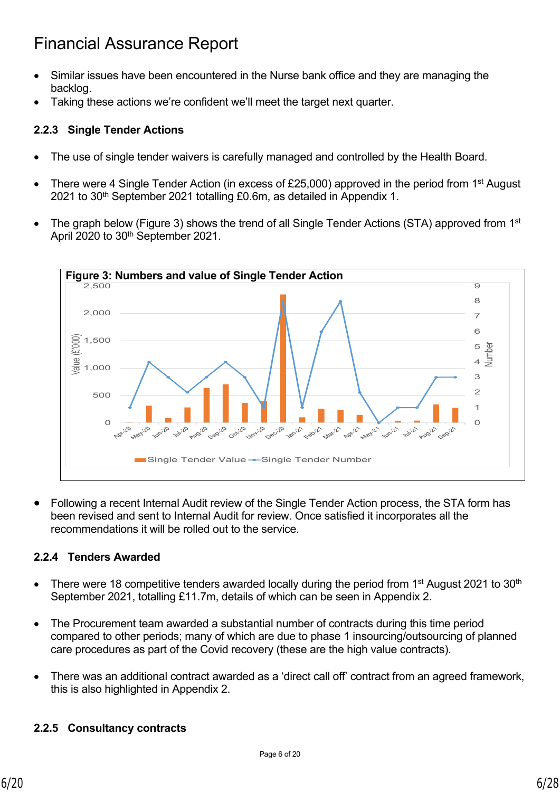- Similar issues have been encountered in the Nurse bank office and they are managing the backlog.
- Taking these actions we're confident we'll meet the target next quarter.

### **2.2.3 Single Tender Actions**

- The use of single tender waivers is carefully managed and controlled by the Health Board.
- There were 4 Single Tender Action (in excess of £25,000) approved in the period from 1<sup>st</sup> August 2021 to 30<sup>th</sup> September 2021 totalling £0.6m, as detailed in Appendix 1.
- The graph below (Figure 3) shows the trend of all Single Tender Actions (STA) approved from 1<sup>st</sup> April 2020 to 30<sup>th</sup> September 2021.



 Following a recent Internal Audit review of the Single Tender Action process, the STA form has been revised and sent to Internal Audit for review. Once satisfied it incorporates all the recommendations it will be rolled out to the service.

### **2.2.4 Tenders Awarded**

- There were 18 competitive tenders awarded locally during the period from 1<sup>st</sup> August 2021 to 30<sup>th</sup> September 2021, totalling £11.7m, details of which can be seen in Appendix 2.
- The Procurement team awarded a substantial number of contracts during this time period compared to other periods; many of which are due to phase 1 insourcing/outsourcing of planned care procedures as part of the Covid recovery (these are the high value contracts).
- There was an additional contract awarded as a 'direct call off' contract from an agreed framework, this is also highlighted in Appendix 2.

### **2.2.5 Consultancy contracts**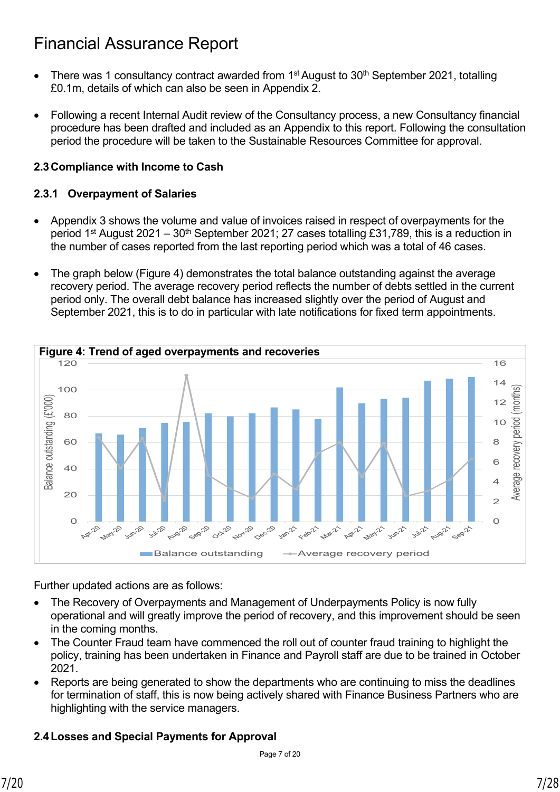- There was 1 consultancy contract awarded from  $1<sup>st</sup>$  August to  $30<sup>th</sup>$  September 2021, totalling £0.1m, details of which can also be seen in Appendix 2.
- Following a recent Internal Audit review of the Consultancy process, a new Consultancy financial procedure has been drafted and included as an Appendix to this report. Following the consultation period the procedure will be taken to the Sustainable Resources Committee for approval.

### **2.3Compliance with Income to Cash**

### **2.3.1 Overpayment of Salaries**

- Appendix 3 shows the volume and value of invoices raised in respect of overpayments for the period 1<sup>st</sup> August 2021 – 30<sup>th</sup> September 2021; 27 cases totalling £31,789, this is a reduction in the number of cases reported from the last reporting period which was a total of 46 cases.
- The graph below (Figure 4) demonstrates the total balance outstanding against the average recovery period. The average recovery period reflects the number of debts settled in the current period only. The overall debt balance has increased slightly over the period of August and September 2021, this is to do in particular with late notifications for fixed term appointments.

![](_page_6_Figure_7.jpeg)

Further updated actions are as follows:

- The Recovery of Overpayments and Management of Underpayments Policy is now fully operational and will greatly improve the period of recovery, and this improvement should be seen in the coming months.
- The Counter Fraud team have commenced the roll out of counter fraud training to highlight the policy, training has been undertaken in Finance and Payroll staff are due to be trained in October 2021.
- Reports are being generated to show the departments who are continuing to miss the deadlines for termination of staff, this is now being actively shared with Finance Business Partners who are highlighting with the service managers.

### **2.4Losses and Special Payments for Approval**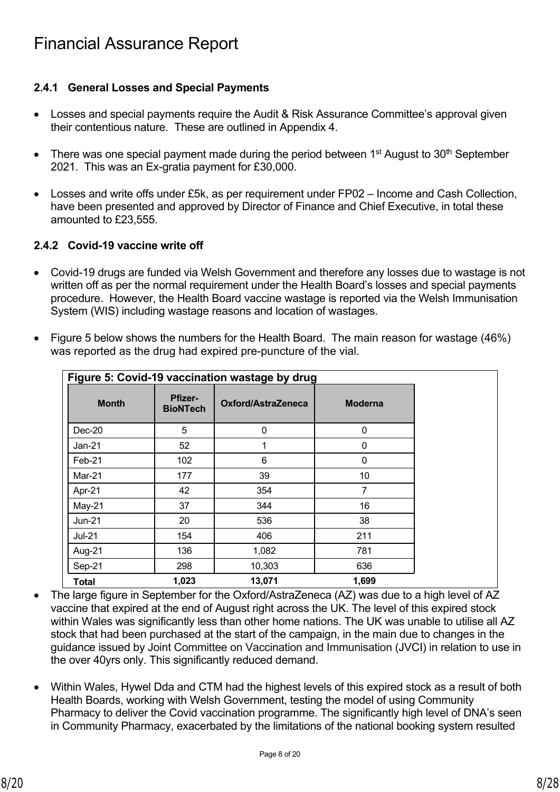### **2.4.1 General Losses and Special Payments**

- Losses and special payments require the Audit & Risk Assurance Committee's approval given their contentious nature. These are outlined in Appendix 4.
- There was one special payment made during the period between  $1<sup>st</sup>$  August to  $30<sup>th</sup>$  September 2021. This was an Ex-gratia payment for £30,000.
- Losses and write offs under £5k, as per requirement under FP02 Income and Cash Collection, have been presented and approved by Director of Finance and Chief Executive, in total these amounted to £23,555.

### **2.4.2 Covid-19 vaccine write off**

- Covid-19 drugs are funded via Welsh Government and therefore any losses due to wastage is not written off as per the normal requirement under the Health Board's losses and special payments procedure. However, the Health Board vaccine wastage is reported via the Welsh Immunisation System (WIS) including wastage reasons and location of wastages.
- Figure 5 below shows the numbers for the Health Board. The main reason for wastage (46%) was reported as the drug had expired pre-puncture of the vial.

| Figure 5: Covid-19 vaccination wastage by drug |                                   |                           |                |  |  |
|------------------------------------------------|-----------------------------------|---------------------------|----------------|--|--|
| <b>Month</b>                                   | <b>Pfizer-</b><br><b>BioNTech</b> | <b>Oxford/AstraZeneca</b> | <b>Moderna</b> |  |  |
| Dec-20                                         | 5                                 | 0                         | 0              |  |  |
| $Jan-21$                                       | 52                                | 1                         | 0              |  |  |
| Feb-21                                         | 102                               | 6                         | 0              |  |  |
| Mar-21                                         | 177                               | 39                        | 10             |  |  |
| Apr-21                                         | 42                                | 354                       | 7              |  |  |
| May-21                                         | 37                                | 344                       | 16             |  |  |
| $Jun-21$                                       | 20                                | 536                       | 38             |  |  |
| <b>Jul-21</b>                                  | 154                               | 406                       | 211            |  |  |
| Aug-21                                         | 136                               | 1,082                     | 781            |  |  |
| Sep-21                                         | 298                               | 10,303                    | 636            |  |  |
| <b>Total</b>                                   | 1,023                             | 13,071                    | 1,699          |  |  |

- The large figure in September for the Oxford/AstraZeneca (AZ) was due to a high level of AZ vaccine that expired at the end of August right across the UK. The level of this expired stock within Wales was significantly less than other home nations. The UK was unable to utilise all AZ stock that had been purchased at the start of the campaign, in the main due to changes in the guidance issued by Joint Committee on Vaccination and Immunisation (JVCI) in relation to use in the over 40yrs only. This significantly reduced demand.
- Within Wales, Hywel Dda and CTM had the highest levels of this expired stock as a result of both Health Boards, working with Welsh Government, testing the model of using Community Pharmacy to deliver the Covid vaccination programme. The significantly high level of DNA's seen in Community Pharmacy, exacerbated by the limitations of the national booking system resulted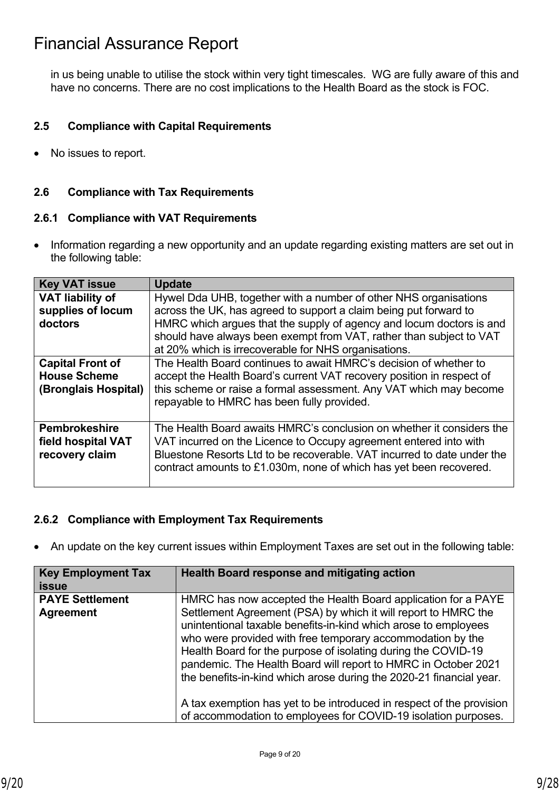in us being unable to utilise the stock within very tight timescales. WG are fully aware of this and have no concerns. There are no cost implications to the Health Board as the stock is FOC.

### **2.5 Compliance with Capital Requirements**

• No issues to report.

### **2.6 Compliance with Tax Requirements**

#### **2.6.1 Compliance with VAT Requirements**

• Information regarding a new opportunity and an update regarding existing matters are set out in the following table:

| <b>Key VAT issue</b>                                                   | <b>Update</b>                                                                                                                                                                                                                                                                                                                                |
|------------------------------------------------------------------------|----------------------------------------------------------------------------------------------------------------------------------------------------------------------------------------------------------------------------------------------------------------------------------------------------------------------------------------------|
| <b>VAT liability of</b><br>supplies of locum<br>doctors                | Hywel Dda UHB, together with a number of other NHS organisations<br>across the UK, has agreed to support a claim being put forward to<br>HMRC which argues that the supply of agency and locum doctors is and<br>should have always been exempt from VAT, rather than subject to VAT<br>at 20% which is irrecoverable for NHS organisations. |
| <b>Capital Front of</b><br><b>House Scheme</b><br>(Bronglais Hospital) | The Health Board continues to await HMRC's decision of whether to<br>accept the Health Board's current VAT recovery position in respect of<br>this scheme or raise a formal assessment. Any VAT which may become<br>repayable to HMRC has been fully provided.                                                                               |
| <b>Pembrokeshire</b><br>field hospital VAT<br>recovery claim           | The Health Board awaits HMRC's conclusion on whether it considers the<br>VAT incurred on the Licence to Occupy agreement entered into with<br>Bluestone Resorts Ltd to be recoverable. VAT incurred to date under the<br>contract amounts to £1.030m, none of which has yet been recovered.                                                  |

#### **2.6.2 Compliance with Employment Tax Requirements**

An update on the key current issues within Employment Taxes are set out in the following table:

| <b>Key Employment Tax</b><br><b>issue</b> | Health Board response and mitigating action                                                                                                                                                                                                                                                                                                                                                                                                                                                                                                         |
|-------------------------------------------|-----------------------------------------------------------------------------------------------------------------------------------------------------------------------------------------------------------------------------------------------------------------------------------------------------------------------------------------------------------------------------------------------------------------------------------------------------------------------------------------------------------------------------------------------------|
| <b>PAYE Settlement</b>                    | HMRC has now accepted the Health Board application for a PAYE                                                                                                                                                                                                                                                                                                                                                                                                                                                                                       |
| <b>Agreement</b>                          | Settlement Agreement (PSA) by which it will report to HMRC the<br>unintentional taxable benefits-in-kind which arose to employees<br>who were provided with free temporary accommodation by the<br>Health Board for the purpose of isolating during the COVID-19<br>pandemic. The Health Board will report to HMRC in October 2021<br>the benefits-in-kind which arose during the 2020-21 financial year.<br>A tax exemption has yet to be introduced in respect of the provision<br>of accommodation to employees for COVID-19 isolation purposes. |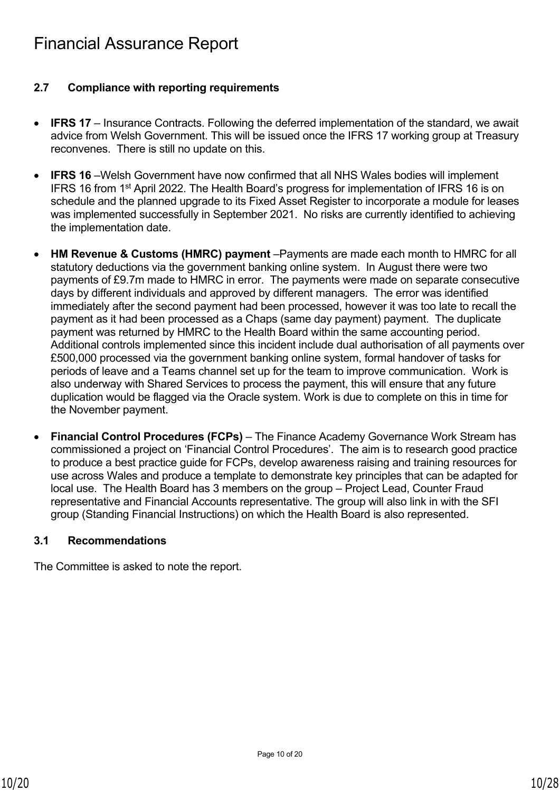### **2.7 Compliance with reporting requirements**

- **IFRS 17** Insurance Contracts. Following the deferred implementation of the standard, we await advice from Welsh Government. This will be issued once the IFRS 17 working group at Treasury reconvenes. There is still no update on this.
- **IFRS 16** –Welsh Government have now confirmed that all NHS Wales bodies will implement IFRS 16 from 1st April 2022. The Health Board's progress for implementation of IFRS 16 is on schedule and the planned upgrade to its Fixed Asset Register to incorporate a module for leases was implemented successfully in September 2021. No risks are currently identified to achieving the implementation date.
- **HM Revenue & Customs (HMRC) payment** –Payments are made each month to HMRC for all statutory deductions via the government banking online system. In August there were two payments of £9.7m made to HMRC in error. The payments were made on separate consecutive days by different individuals and approved by different managers. The error was identified immediately after the second payment had been processed, however it was too late to recall the payment as it had been processed as a Chaps (same day payment) payment. The duplicate payment was returned by HMRC to the Health Board within the same accounting period. Additional controls implemented since this incident include dual authorisation of all payments over £500,000 processed via the government banking online system, formal handover of tasks for periods of leave and a Teams channel set up for the team to improve communication. Work is also underway with Shared Services to process the payment, this will ensure that any future duplication would be flagged via the Oracle system. Work is due to complete on this in time for the November payment.
- **Financial Control Procedures (FCPs)** The Finance Academy Governance Work Stream has commissioned a project on 'Financial Control Procedures'. The aim is to research good practice to produce a best practice guide for FCPs, develop awareness raising and training resources for use across Wales and produce a template to demonstrate key principles that can be adapted for local use. The Health Board has 3 members on the group – Project Lead, Counter Fraud representative and Financial Accounts representative. The group will also link in with the SFI group (Standing Financial Instructions) on which the Health Board is also represented.

### **3.1 Recommendations**

The Committee is asked to note the report.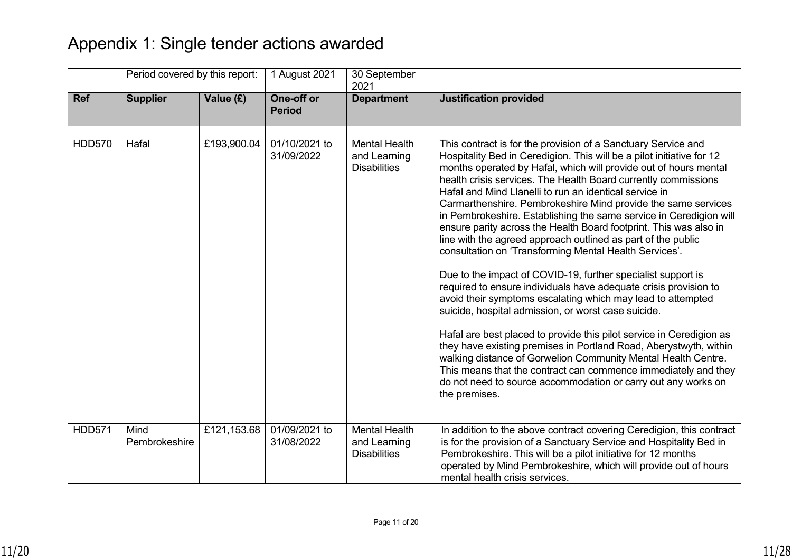## Appendix 1: Single tender actions awarded

|               | Period covered by this report: |             | 1 August 2021               | 30 September<br>2021                                        |                                                                                                                                                                                                                                                                                                                                                                                                                                                                                                                                                                                                                                                                                                                                                                                                                                                                                                                                                                                                                                                                                                                                                                                                                                                                                                          |
|---------------|--------------------------------|-------------|-----------------------------|-------------------------------------------------------------|----------------------------------------------------------------------------------------------------------------------------------------------------------------------------------------------------------------------------------------------------------------------------------------------------------------------------------------------------------------------------------------------------------------------------------------------------------------------------------------------------------------------------------------------------------------------------------------------------------------------------------------------------------------------------------------------------------------------------------------------------------------------------------------------------------------------------------------------------------------------------------------------------------------------------------------------------------------------------------------------------------------------------------------------------------------------------------------------------------------------------------------------------------------------------------------------------------------------------------------------------------------------------------------------------------|
| <b>Ref</b>    | <b>Supplier</b>                | Value (£)   | One-off or<br><b>Period</b> | <b>Department</b>                                           | <b>Justification provided</b>                                                                                                                                                                                                                                                                                                                                                                                                                                                                                                                                                                                                                                                                                                                                                                                                                                                                                                                                                                                                                                                                                                                                                                                                                                                                            |
| <b>HDD570</b> | Hafal                          | £193,900.04 | 01/10/2021 to<br>31/09/2022 | <b>Mental Health</b><br>and Learning<br><b>Disabilities</b> | This contract is for the provision of a Sanctuary Service and<br>Hospitality Bed in Ceredigion. This will be a pilot initiative for 12<br>months operated by Hafal, which will provide out of hours mental<br>health crisis services. The Health Board currently commissions<br>Hafal and Mind Llanelli to run an identical service in<br>Carmarthenshire. Pembrokeshire Mind provide the same services<br>in Pembrokeshire. Establishing the same service in Ceredigion will<br>ensure parity across the Health Board footprint. This was also in<br>line with the agreed approach outlined as part of the public<br>consultation on 'Transforming Mental Health Services'.<br>Due to the impact of COVID-19, further specialist support is<br>required to ensure individuals have adequate crisis provision to<br>avoid their symptoms escalating which may lead to attempted<br>suicide, hospital admission, or worst case suicide.<br>Hafal are best placed to provide this pilot service in Ceredigion as<br>they have existing premises in Portland Road, Aberystwyth, within<br>walking distance of Gorwelion Community Mental Health Centre.<br>This means that the contract can commence immediately and they<br>do not need to source accommodation or carry out any works on<br>the premises. |
| <b>HDD571</b> | Mind<br>Pembrokeshire          | £121,153.68 | 01/09/2021 to<br>31/08/2022 | <b>Mental Health</b><br>and Learning<br><b>Disabilities</b> | In addition to the above contract covering Ceredigion, this contract<br>is for the provision of a Sanctuary Service and Hospitality Bed in<br>Pembrokeshire. This will be a pilot initiative for 12 months<br>operated by Mind Pembrokeshire, which will provide out of hours<br>mental health crisis services.                                                                                                                                                                                                                                                                                                                                                                                                                                                                                                                                                                                                                                                                                                                                                                                                                                                                                                                                                                                          |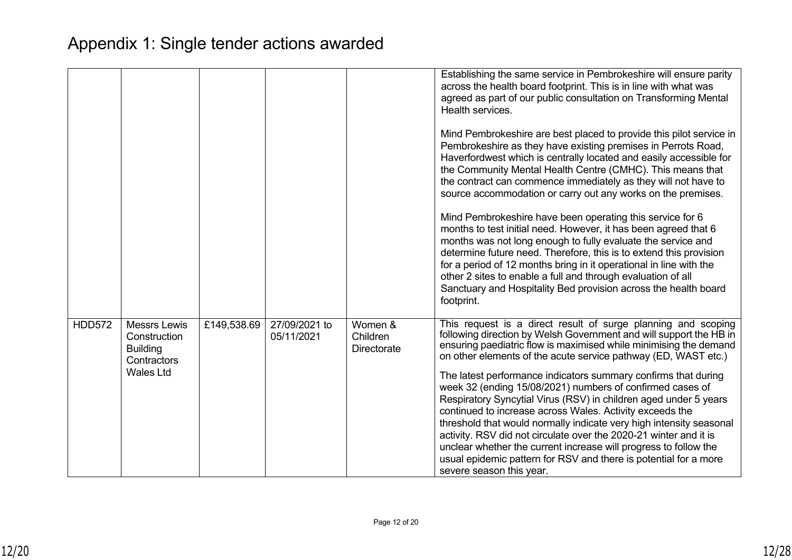|               |                                                                                           |             |                             |                                           | Establishing the same service in Pembrokeshire will ensure parity<br>across the health board footprint. This is in line with what was<br>agreed as part of our public consultation on Transforming Mental<br>Health services.<br>Mind Pembrokeshire are best placed to provide this pilot service in<br>Pembrokeshire as they have existing premises in Perrots Road,<br>Haverfordwest which is centrally located and easily accessible for<br>the Community Mental Health Centre (CMHC). This means that<br>the contract can commence immediately as they will not have to<br>source accommodation or carry out any works on the premises.<br>Mind Pembrokeshire have been operating this service for 6<br>months to test initial need. However, it has been agreed that 6<br>months was not long enough to fully evaluate the service and<br>determine future need. Therefore, this is to extend this provision<br>for a period of 12 months bring in it operational in line with the<br>other 2 sites to enable a full and through evaluation of all<br>Sanctuary and Hospitality Bed provision across the health board<br>footprint. |
|---------------|-------------------------------------------------------------------------------------------|-------------|-----------------------------|-------------------------------------------|------------------------------------------------------------------------------------------------------------------------------------------------------------------------------------------------------------------------------------------------------------------------------------------------------------------------------------------------------------------------------------------------------------------------------------------------------------------------------------------------------------------------------------------------------------------------------------------------------------------------------------------------------------------------------------------------------------------------------------------------------------------------------------------------------------------------------------------------------------------------------------------------------------------------------------------------------------------------------------------------------------------------------------------------------------------------------------------------------------------------------------------|
| <b>HDD572</b> | <b>Messrs Lewis</b><br>Construction<br><b>Building</b><br>Contractors<br><b>Wales Ltd</b> | £149,538.69 | 27/09/2021 to<br>05/11/2021 | Women &<br>Children<br><b>Directorate</b> | This request is a direct result of surge planning and scoping<br>following direction by Welsh Government and will support the HB in<br>ensuring paediatric flow is maximised while minimising the demand<br>on other elements of the acute service pathway (ED, WAST etc.)<br>The latest performance indicators summary confirms that during<br>week 32 (ending 15/08/2021) numbers of confirmed cases of<br>Respiratory Syncytial Virus (RSV) in children aged under 5 years<br>continued to increase across Wales. Activity exceeds the<br>threshold that would normally indicate very high intensity seasonal<br>activity. RSV did not circulate over the 2020-21 winter and it is<br>unclear whether the current increase will progress to follow the<br>usual epidemic pattern for RSV and there is potential for a more<br>severe season this year.                                                                                                                                                                                                                                                                                |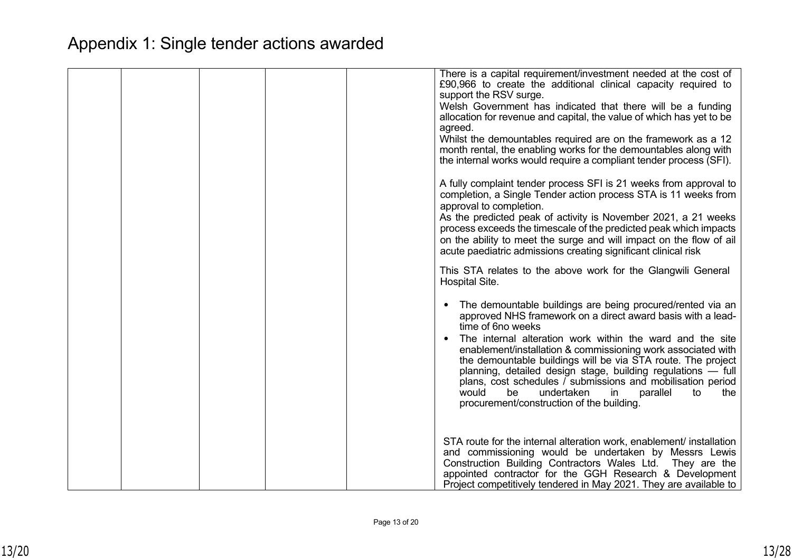## Appendix 1: Single tender actions awarded

|  | There is a capital requirement/investment needed at the cost of<br>£90,966 to create the additional clinical capacity required to<br>support the RSV surge.<br>Welsh Government has indicated that there will be a funding<br>allocation for revenue and capital, the value of which has yet to be<br>agreed.<br>Whilst the demountables required are on the framework as a 12<br>month rental, the enabling works for the demountables along with<br>the internal works would require a compliant tender process (SFI).<br>A fully complaint tender process SFI is 21 weeks from approval to<br>completion, a Single Tender action process STA is 11 weeks from<br>approval to completion.<br>As the predicted peak of activity is November 2021, a 21 weeks<br>process exceeds the timescale of the predicted peak which impacts<br>on the ability to meet the surge and will impact on the flow of ail<br>acute paediatric admissions creating significant clinical risk |
|--|-----------------------------------------------------------------------------------------------------------------------------------------------------------------------------------------------------------------------------------------------------------------------------------------------------------------------------------------------------------------------------------------------------------------------------------------------------------------------------------------------------------------------------------------------------------------------------------------------------------------------------------------------------------------------------------------------------------------------------------------------------------------------------------------------------------------------------------------------------------------------------------------------------------------------------------------------------------------------------|
|  | This STA relates to the above work for the Glangwili General<br>Hospital Site.                                                                                                                                                                                                                                                                                                                                                                                                                                                                                                                                                                                                                                                                                                                                                                                                                                                                                              |
|  | The demountable buildings are being procured/rented via an<br>approved NHS framework on a direct award basis with a lead-<br>time of 6no weeks<br>The internal alteration work within the ward and the site<br>enablement/installation & commissioning work associated with<br>the demountable buildings will be via STA route. The project<br>planning, detailed design stage, building regulations - full<br>plans, cost schedules / submissions and mobilisation period<br>undertaken<br>would<br>be<br>parallel<br>the<br>-in<br>to<br>procurement/construction of the building.                                                                                                                                                                                                                                                                                                                                                                                        |
|  | STA route for the internal alteration work, enablement/ installation<br>and commissioning would be undertaken by Messrs Lewis<br>Construction Building Contractors Wales Ltd. They are the<br>appointed contractor for the GGH Research & Development<br>Project competitively tendered in May 2021. They are available to                                                                                                                                                                                                                                                                                                                                                                                                                                                                                                                                                                                                                                                  |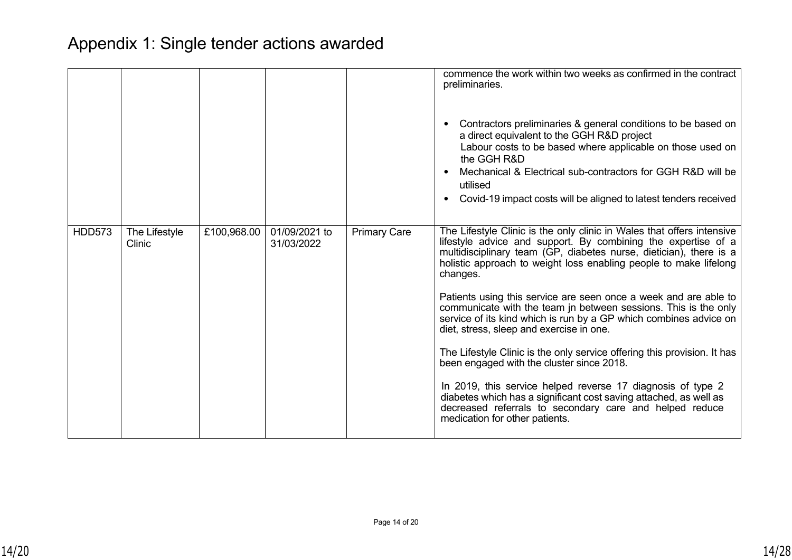## Appendix 1: Single tender actions awarded

|               |                         |             |                             |                     | commence the work within two weeks as confirmed in the contract<br>preliminaries.<br>Contractors preliminaries & general conditions to be based on<br>a direct equivalent to the GGH R&D project<br>Labour costs to be based where applicable on those used on<br>the GGH R&D<br>Mechanical & Electrical sub-contractors for GGH R&D will be<br>utilised<br>Covid-19 impact costs will be aligned to latest tenders received                                                                                                                                                                                                                                                                                                                                                                                                                                                                                     |
|---------------|-------------------------|-------------|-----------------------------|---------------------|------------------------------------------------------------------------------------------------------------------------------------------------------------------------------------------------------------------------------------------------------------------------------------------------------------------------------------------------------------------------------------------------------------------------------------------------------------------------------------------------------------------------------------------------------------------------------------------------------------------------------------------------------------------------------------------------------------------------------------------------------------------------------------------------------------------------------------------------------------------------------------------------------------------|
| <b>HDD573</b> | The Lifestyle<br>Clinic | £100,968.00 | 01/09/2021 to<br>31/03/2022 | <b>Primary Care</b> | The Lifestyle Clinic is the only clinic in Wales that offers intensive<br>lifestyle advice and support. By combining the expertise of a<br>multidisciplinary team (GP, diabetes nurse, dietician), there is a<br>holistic approach to weight loss enabling people to make lifelong<br>changes.<br>Patients using this service are seen once a week and are able to<br>communicate with the team jn between sessions. This is the only<br>service of its kind which is run by a GP which combines advice on<br>diet, stress, sleep and exercise in one.<br>The Lifestyle Clinic is the only service offering this provision. It has<br>been engaged with the cluster since 2018.<br>In 2019, this service helped reverse 17 diagnosis of type 2<br>diabetes which has a significant cost saving attached, as well as<br>decreased referrals to secondary care and helped reduce<br>medication for other patients. |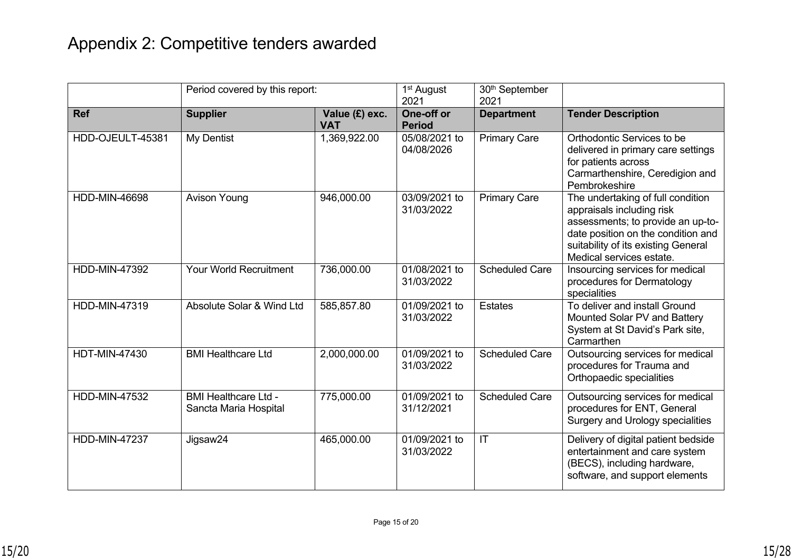## Appendix 2: Competitive tenders awarded

|                      | Period covered by this report:                       |                              | 1 <sup>st</sup> August      | 30 <sup>th</sup> September |                                                                                                                                                                                                              |
|----------------------|------------------------------------------------------|------------------------------|-----------------------------|----------------------------|--------------------------------------------------------------------------------------------------------------------------------------------------------------------------------------------------------------|
|                      |                                                      |                              | 2021                        | 2021                       |                                                                                                                                                                                                              |
| <b>Ref</b>           | <b>Supplier</b>                                      | Value (£) exc.<br><b>VAT</b> | One-off or<br><b>Period</b> | <b>Department</b>          | <b>Tender Description</b>                                                                                                                                                                                    |
| HDD-OJEULT-45381     | My Dentist                                           | 1,369,922.00                 | 05/08/2021 to<br>04/08/2026 | <b>Primary Care</b>        | Orthodontic Services to be<br>delivered in primary care settings<br>for patients across<br>Carmarthenshire, Ceredigion and<br>Pembrokeshire                                                                  |
| <b>HDD-MIN-46698</b> | <b>Avison Young</b>                                  | 946,000.00                   | 03/09/2021 to<br>31/03/2022 | <b>Primary Care</b>        | The undertaking of full condition<br>appraisals including risk<br>assessments; to provide an up-to-<br>date position on the condition and<br>suitability of its existing General<br>Medical services estate. |
| <b>HDD-MIN-47392</b> | <b>Your World Recruitment</b>                        | 736,000.00                   | 01/08/2021 to<br>31/03/2022 | <b>Scheduled Care</b>      | Insourcing services for medical<br>procedures for Dermatology<br>specialities                                                                                                                                |
| HDD-MIN-47319        | Absolute Solar & Wind Ltd                            | 585,857.80                   | 01/09/2021 to<br>31/03/2022 | <b>Estates</b>             | To deliver and install Ground<br>Mounted Solar PV and Battery<br>System at St David's Park site,<br>Carmarthen                                                                                               |
| <b>HDT-MIN-47430</b> | <b>BMI Healthcare Ltd</b>                            | 2,000,000.00                 | 01/09/2021 to<br>31/03/2022 | <b>Scheduled Care</b>      | Outsourcing services for medical<br>procedures for Trauma and<br>Orthopaedic specialities                                                                                                                    |
| <b>HDD-MIN-47532</b> | <b>BMI Healthcare Ltd -</b><br>Sancta Maria Hospital | 775,000.00                   | 01/09/2021 to<br>31/12/2021 | <b>Scheduled Care</b>      | Outsourcing services for medical<br>procedures for ENT, General<br>Surgery and Urology specialities                                                                                                          |
| <b>HDD-MIN-47237</b> | Jigsaw24                                             | 465,000.00                   | 01/09/2021 to<br>31/03/2022 | IT                         | Delivery of digital patient bedside<br>entertainment and care system<br>(BECS), including hardware,<br>software, and support elements                                                                        |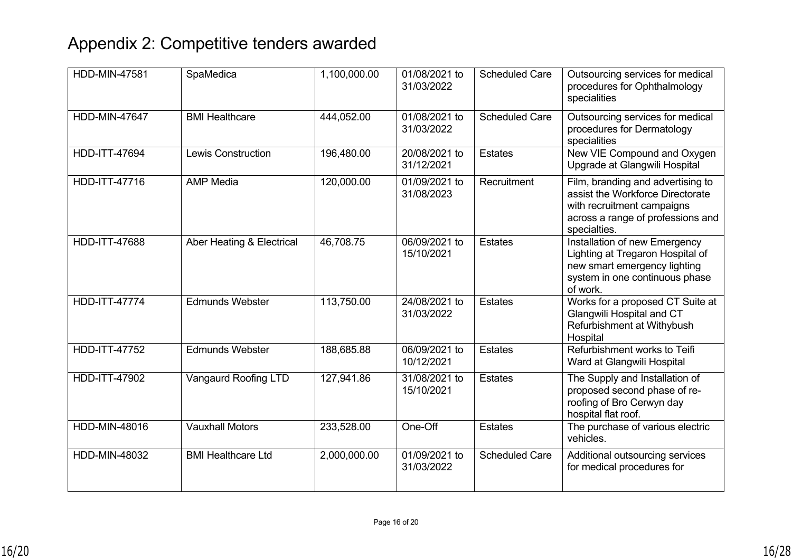## Appendix 2: Competitive tenders awarded

| <b>HDD-MIN-47581</b> | SpaMedica                 | 1,100,000.00 | 01/08/2021 to<br>31/03/2022 | <b>Scheduled Care</b> | Outsourcing services for medical<br>procedures for Ophthalmology<br>specialities                                                                         |
|----------------------|---------------------------|--------------|-----------------------------|-----------------------|----------------------------------------------------------------------------------------------------------------------------------------------------------|
| <b>HDD-MIN-47647</b> | <b>BMI Healthcare</b>     | 444,052.00   | 01/08/2021 to<br>31/03/2022 | <b>Scheduled Care</b> | Outsourcing services for medical<br>procedures for Dermatology<br>specialities                                                                           |
| <b>HDD-ITT-47694</b> | <b>Lewis Construction</b> | 196,480.00   | 20/08/2021 to<br>31/12/2021 | <b>Estates</b>        | New VIE Compound and Oxygen<br>Upgrade at Glangwili Hospital                                                                                             |
| HDD-ITT-47716        | <b>AMP Media</b>          | 120,000.00   | 01/09/2021 to<br>31/08/2023 | Recruitment           | Film, branding and advertising to<br>assist the Workforce Directorate<br>with recruitment campaigns<br>across a range of professions and<br>specialties. |
| <b>HDD-ITT-47688</b> | Aber Heating & Electrical | 46,708.75    | 06/09/2021 to<br>15/10/2021 | <b>Estates</b>        | Installation of new Emergency<br>Lighting at Tregaron Hospital of<br>new smart emergency lighting<br>system in one continuous phase<br>of work.          |
| <b>HDD-ITT-47774</b> | <b>Edmunds Webster</b>    | 113,750.00   | 24/08/2021 to<br>31/03/2022 | <b>Estates</b>        | Works for a proposed CT Suite at<br>Glangwili Hospital and CT<br>Refurbishment at Withybush<br>Hospital                                                  |
| <b>HDD-ITT-47752</b> | <b>Edmunds Webster</b>    | 188,685.88   | 06/09/2021 to<br>10/12/2021 | <b>Estates</b>        | Refurbishment works to Teifi<br>Ward at Glangwili Hospital                                                                                               |
| HDD-ITT-47902        | Vangaurd Roofing LTD      | 127,941.86   | 31/08/2021 to<br>15/10/2021 | <b>Estates</b>        | The Supply and Installation of<br>proposed second phase of re-<br>roofing of Bro Cerwyn day<br>hospital flat roof.                                       |
| HDD-MIN-48016        | <b>Vauxhall Motors</b>    | 233,528.00   | One-Off                     | <b>Estates</b>        | The purchase of various electric<br>vehicles.                                                                                                            |
| HDD-MIN-48032        | <b>BMI Healthcare Ltd</b> | 2,000,000.00 | 01/09/2021 to<br>31/03/2022 | <b>Scheduled Care</b> | Additional outsourcing services<br>for medical procedures for                                                                                            |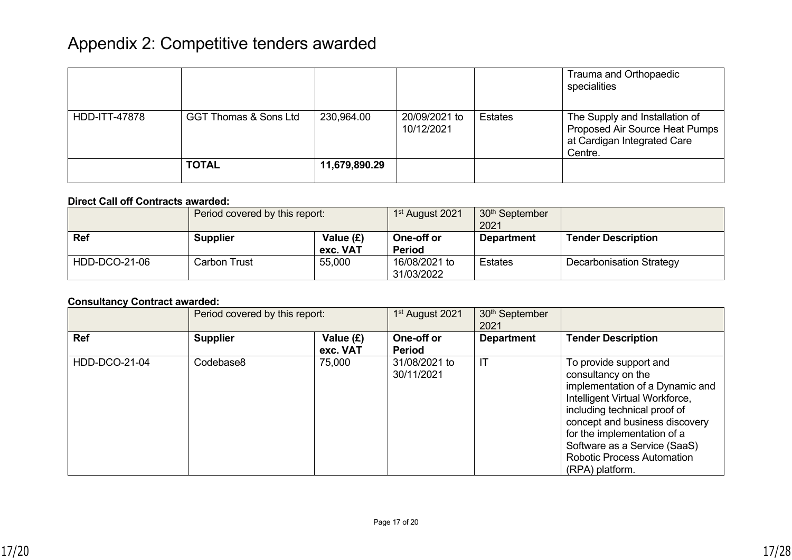## Appendix 2: Competitive tenders awarded

|               |                                  |               |                             |         | Trauma and Orthopaedic<br>specialities                                                                     |
|---------------|----------------------------------|---------------|-----------------------------|---------|------------------------------------------------------------------------------------------------------------|
| HDD-ITT-47878 | <b>GGT Thomas &amp; Sons Ltd</b> | 230,964.00    | 20/09/2021 to<br>10/12/2021 | Estates | The Supply and Installation of<br>Proposed Air Source Heat Pumps<br>at Cardigan Integrated Care<br>Centre. |
|               | <b>TOTAL</b>                     | 11,679,890.29 |                             |         |                                                                                                            |

#### **Direct Call off Contracts awarded:**

|               | Period covered by this report: |                       | 1 <sup>st</sup> August 2021 | 30 <sup>th</sup> September<br>2021 |                                 |
|---------------|--------------------------------|-----------------------|-----------------------------|------------------------------------|---------------------------------|
| <b>Ref</b>    | <b>Supplier</b>                | Value (£)<br>exc. VAT | One-off or<br><b>Period</b> | <b>Department</b>                  | <b>Tender Description</b>       |
| HDD-DCO-21-06 | Carbon Trust                   | 55,000                | 16/08/2021 to<br>31/03/2022 | <b>Estates</b>                     | <b>Decarbonisation Strategy</b> |

### **Consultancy Contract awarded:**

|               | Period covered by this report: |                       | 1 <sup>st</sup> August 2021 | 30 <sup>th</sup> September<br>2021 |                                                                                                                                                                                                                                                                                                            |
|---------------|--------------------------------|-----------------------|-----------------------------|------------------------------------|------------------------------------------------------------------------------------------------------------------------------------------------------------------------------------------------------------------------------------------------------------------------------------------------------------|
| <b>Ref</b>    | <b>Supplier</b>                | Value (£)<br>exc. VAT | One-off or<br><b>Period</b> | <b>Department</b>                  | <b>Tender Description</b>                                                                                                                                                                                                                                                                                  |
| HDD-DCO-21-04 | Codebase8                      | 75,000                | 31/08/2021 to<br>30/11/2021 | IT                                 | To provide support and<br>consultancy on the<br>implementation of a Dynamic and<br>Intelligent Virtual Workforce,<br>including technical proof of<br>concept and business discovery<br>for the implementation of a<br>Software as a Service (SaaS)<br><b>Robotic Process Automation</b><br>(RPA) platform. |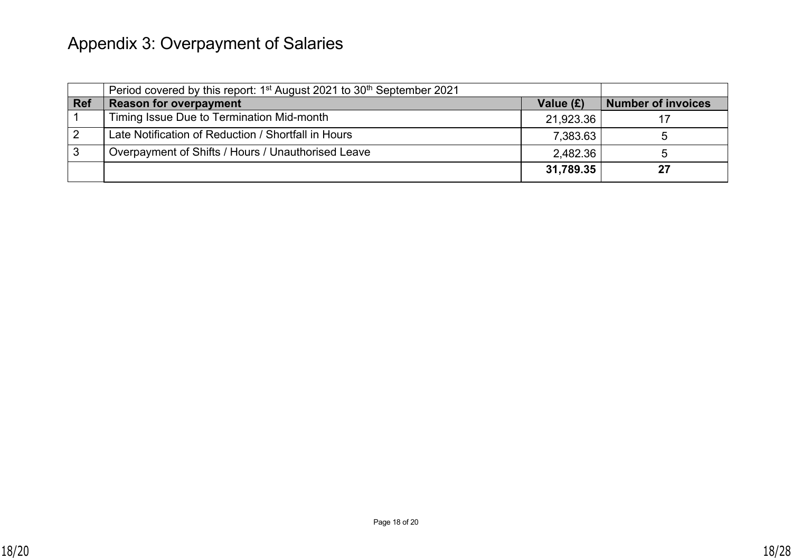## Appendix 3: Overpayment of Salaries

|            | Period covered by this report: 1 <sup>st</sup> August 2021 to 30 <sup>th</sup> September 2021 |           |                           |
|------------|-----------------------------------------------------------------------------------------------|-----------|---------------------------|
| <b>Ref</b> | <b>Reason for overpayment</b>                                                                 | Value (£) | <b>Number of invoices</b> |
|            | Timing Issue Due to Termination Mid-month                                                     | 21,923.36 |                           |
|            | Late Notification of Reduction / Shortfall in Hours                                           | 7,383.63  |                           |
|            | Overpayment of Shifts / Hours / Unauthorised Leave                                            | 2,482.36  |                           |
|            |                                                                                               | 31,789.35 | 27                        |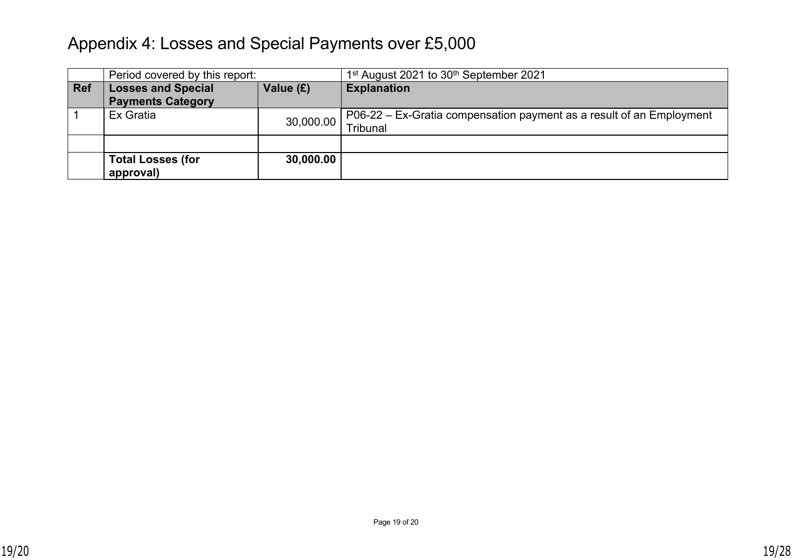## Appendix 4: Losses and Special Payments over £5,000

|            | Period covered by this report:                        |           | 1 <sup>st</sup> August 2021 to 30 <sup>th</sup> September 2021                   |
|------------|-------------------------------------------------------|-----------|----------------------------------------------------------------------------------|
| <b>Ref</b> | <b>Losses and Special</b><br><b>Payments Category</b> | Value (£) | <b>Explanation</b>                                                               |
|            | Ex Gratia                                             | 30,000.00 | P06-22 – Ex-Gratia compensation payment as a result of an Employment<br>Tribunal |
|            |                                                       |           |                                                                                  |
|            | <b>Total Losses (for</b><br>approval)                 | 30,000.00 |                                                                                  |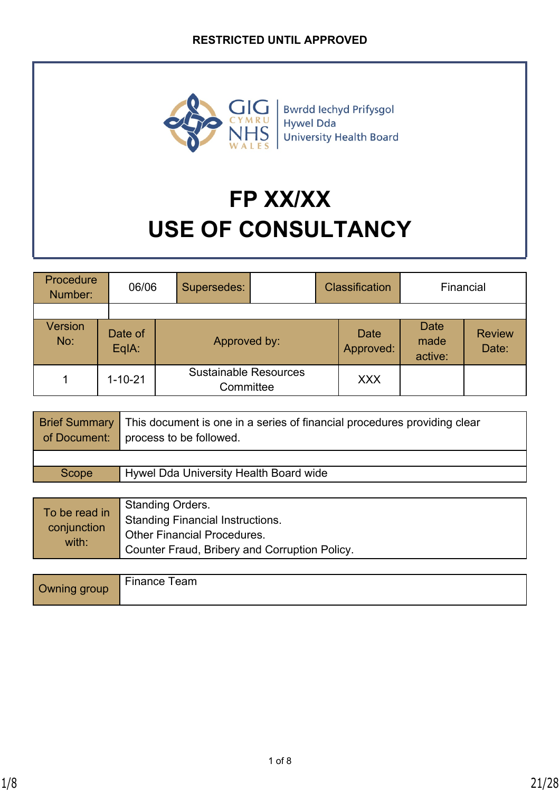![](_page_20_Picture_1.jpeg)

**Bwrdd lechyd Prifysgol** Hywel Dda **University Health Board** 

# **FP XX/XX USE OF CONSULTANCY**

| Procedure<br>Number:  | 06/06            | Supersedes: |                                           | <b>Classification</b> | Financial                      |                        |
|-----------------------|------------------|-------------|-------------------------------------------|-----------------------|--------------------------------|------------------------|
|                       |                  |             |                                           |                       |                                |                        |
| <b>Version</b><br>No: | Date of<br>EqIA: |             | Approved by:                              |                       | <b>Date</b><br>made<br>active: | <b>Review</b><br>Date: |
|                       | $1 - 10 - 21$    |             | <b>Sustainable Resources</b><br>Committee |                       |                                |                        |

|       | Brief Summary   This document is one in a series of financial procedures providing clear<br>of Document:   process to be followed. |
|-------|------------------------------------------------------------------------------------------------------------------------------------|
|       |                                                                                                                                    |
| Scope | Hywel Dda University Health Board wide                                                                                             |
|       |                                                                                                                                    |

| To be read in | Standing Orders.                              |
|---------------|-----------------------------------------------|
|               | <b>Standing Financial Instructions.</b>       |
| conjunction   | <b>Other Financial Procedures.</b>            |
| with:         | Counter Fraud, Bribery and Corruption Policy. |

| group<br>Dwning / | $- \cdot$<br>็eam<br><b>Finance</b> |
|-------------------|-------------------------------------|
|-------------------|-------------------------------------|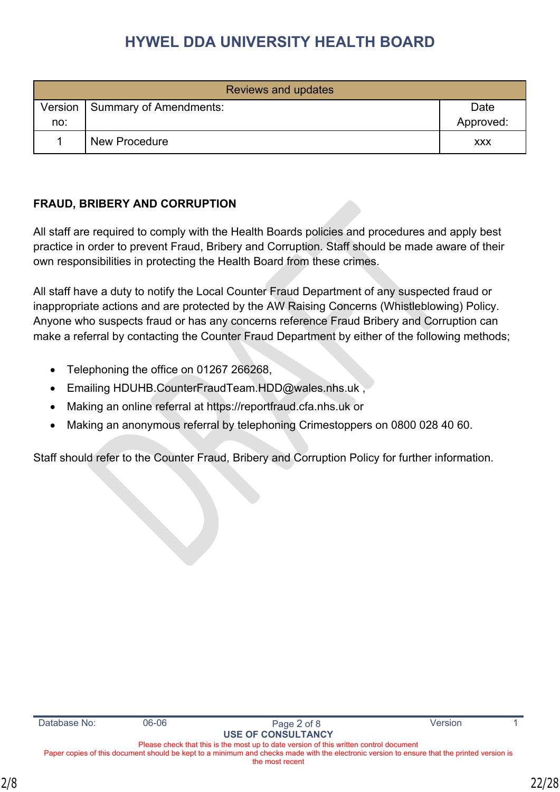| <b>Reviews and updates</b> |                        |            |  |
|----------------------------|------------------------|------------|--|
| Version                    | Summary of Amendments: | Date       |  |
| no:                        |                        | Approved:  |  |
|                            | <b>New Procedure</b>   | <b>XXX</b> |  |

### **FRAUD, BRIBERY AND CORRUPTION**

All staff are required to comply with the Health Boards policies and procedures and apply best practice in order to prevent Fraud, Bribery and Corruption. Staff should be made aware of their own responsibilities in protecting the Health Board from these crimes.

All staff have a duty to notify the Local Counter Fraud Department of any suspected fraud or inappropriate actions and are protected by the AW Raising Concerns (Whistleblowing) Policy. Anyone who suspects fraud or has any concerns reference Fraud Bribery and Corruption can make a referral by contacting the Counter Fraud Department by either of the following methods;

- Telephoning the office on 01267 266268,
- Emailing [HDUHB.CounterFraudTeam.HDD@wales.nhs.uk](mailto:HDUHB.CounterFraudTeam.HDD@wales.nhs.uk) ,
- Making an online referral at [https://reportfraud.cfa.nhs.uk](https://reportfraud.cfa.nhs.uk/) or
- Making an anonymous referral by telephoning Crimestoppers on 0800 028 40 60.

Staff should refer to the Counter Fraud, Bribery and Corruption Policy for further information.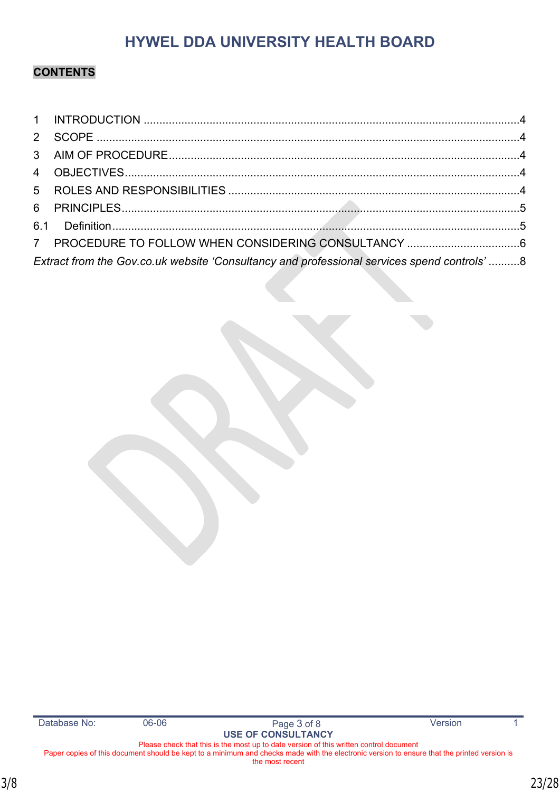### **CONTENTS**

| Extract from the Gov.co.uk website 'Consultancy and professional services spend controls'8 |  |
|--------------------------------------------------------------------------------------------|--|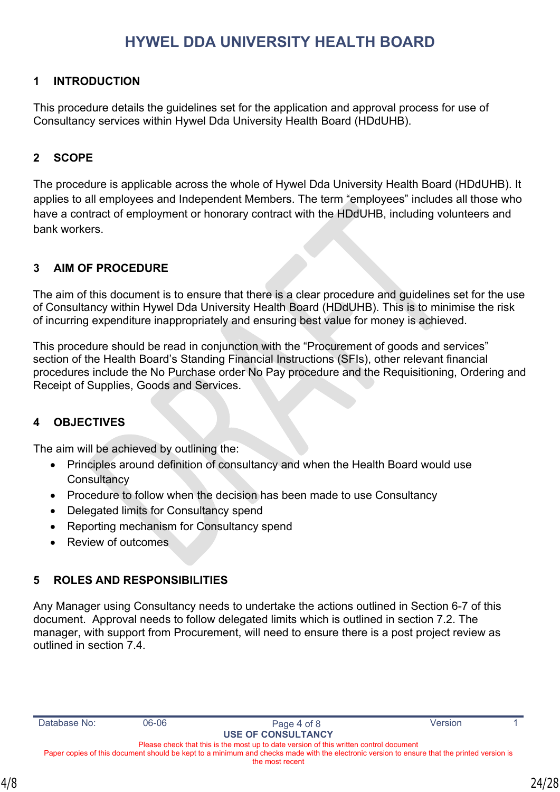### <span id="page-23-0"></span>**1 INTRODUCTION**

This procedure details the guidelines set for the application and approval process for use of Consultancy services within Hywel Dda University Health Board (HDdUHB).

### <span id="page-23-1"></span>**2 SCOPE**

The procedure is applicable across the whole of Hywel Dda University Health Board (HDdUHB). It applies to all employees and Independent Members. The term "employees" includes all those who have a contract of employment or honorary contract with the HDdUHB, including volunteers and bank workers.

### <span id="page-23-2"></span>**3 AIM OF PROCEDURE**

The aim of this document is to ensure that there is a clear procedure and guidelines set for the use of Consultancy within Hywel Dda University Health Board (HDdUHB). This is to minimise the risk of incurring expenditure inappropriately and ensuring best value for money is achieved.

This procedure should be read in conjunction with the "Procurement of goods and services" section of the Health Board's Standing Financial Instructions (SFIs), other relevant financial procedures include the No Purchase order No Pay procedure and the Requisitioning, Ordering and Receipt of Supplies, Goods and Services.

### <span id="page-23-3"></span>**4 OBJECTIVES**

The aim will be achieved by outlining the:

- Principles around definition of consultancy and when the Health Board would use **Consultancy**
- Procedure to follow when the decision has been made to use Consultancy
- Delegated limits for Consultancy spend
- Reporting mechanism for Consultancy spend
- Review of outcomes

### <span id="page-23-4"></span>**5 ROLES AND RESPONSIBILITIES**

Any Manager using Consultancy needs to undertake the actions outlined in Section 6-7 of this document. Approval needs to follow delegated limits which is outlined in section 7.2. The manager, with support from Procurement, will need to ensure there is a post project review as outlined in section 7.4.

Please check that this is the most up to date version of this written control document Paper copies of this document should be kept to a minimum and checks made with the electronic version to ensure that the printed version is the most recent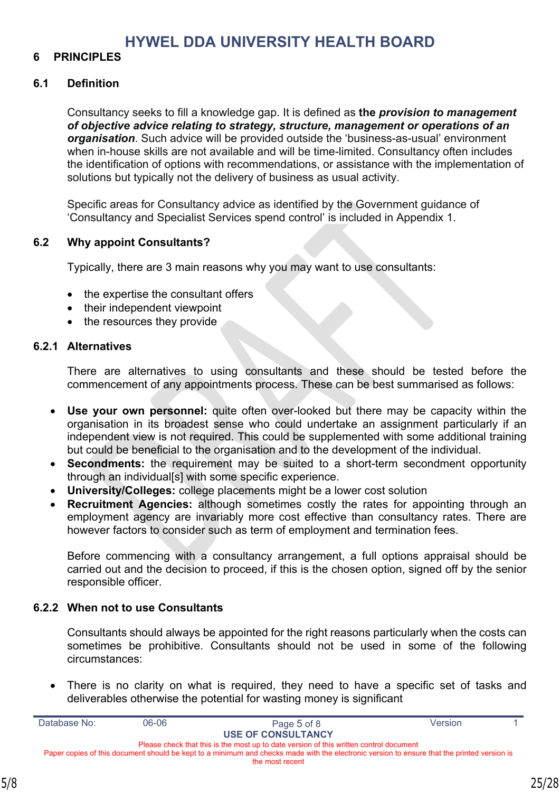### <span id="page-24-0"></span>**6 PRINCIPLES**

### <span id="page-24-1"></span>**6.1 Definition**

Consultancy seeks to fill a knowledge gap. It is defined as **the** *provision to management of objective advice relating to strategy, structure, management or operations of an organisation*. Such advice will be provided outside the 'business-as-usual' environment when in-house skills are not available and will be time-limited. Consultancy often includes the identification of options with recommendations, or assistance with the implementation of solutions but typically not the delivery of business as usual activity.

Specific areas for Consultancy advice as identified by the Government guidance of 'Consultancy and Specialist Services spend control' is included in Appendix 1.

### **6.2 Why appoint Consultants?**

Typically, there are 3 main reasons why you may want to use consultants:

- the expertise the consultant offers
- their independent viewpoint
- the resources they provide

### **6.2.1 Alternatives**

There are alternatives to using consultants and these should be tested before the commencement of any appointments process. These can be best summarised as follows:

- **Use your own personnel:** quite often over-looked but there may be capacity within the organisation in its broadest sense who could undertake an assignment particularly if an independent view is not required. This could be supplemented with some additional training but could be beneficial to the organisation and to the development of the individual.
- **Secondments:** the requirement may be suited to a short-term secondment opportunity through an individual[s] with some specific experience.
- **University/Colleges:** college placements might be a lower cost solution
- **Recruitment Agencies:** although sometimes costly the rates for appointing through an employment agency are invariably more cost effective than consultancy rates. There are however factors to consider such as term of employment and termination fees.

Before commencing with a consultancy arrangement, a full options appraisal should be carried out and the decision to proceed, if this is the chosen option, signed off by the senior responsible officer.

### **6.2.2 When not to use Consultants**

Consultants should always be appointed for the right reasons particularly when the costs can sometimes be prohibitive. Consultants should not be used in some of the following circumstances:

• There is no clarity on what is required, they need to have a specific set of tasks and deliverables otherwise the potential for wasting money is significant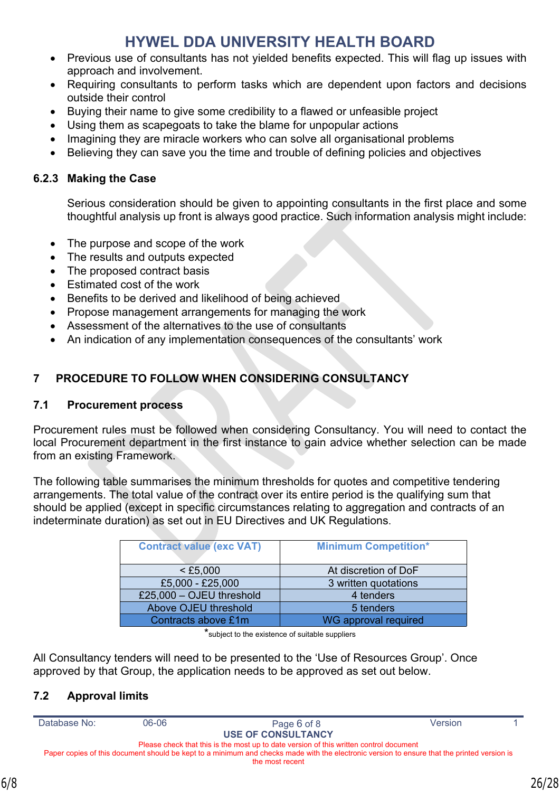- Previous use of consultants has not yielded benefits expected. This will flag up issues with approach and involvement.
- Requiring consultants to perform tasks which are dependent upon factors and decisions outside their control
- Buying their name to give some credibility to a flawed or unfeasible project
- Using them as scapegoats to take the blame for unpopular actions
- Imagining they are miracle workers who can solve all organisational problems
- Believing they can save you the time and trouble of defining policies and objectives

### **6.2.3 Making the Case**

Serious consideration should be given to appointing consultants in the first place and some thoughtful analysis up front is always good practice. Such information analysis might include:

- The purpose and scope of the work
- The results and outputs expected
- The proposed contract basis
- Estimated cost of the work
- Benefits to be derived and likelihood of being achieved
- Propose management arrangements for managing the work
- Assessment of the alternatives to the use of consultants
- An indication of any implementation consequences of the consultants' work

### <span id="page-25-0"></span>**7 PROCEDURE TO FOLLOW WHEN CONSIDERING CONSULTANCY**

### **7.1 Procurement process**

Procurement rules must be followed when considering Consultancy. You will need to contact the local Procurement department in the first instance to gain advice whether selection can be made from an existing Framework.

The following table summarises the minimum thresholds for quotes and competitive tendering arrangements. The total value of the contract over its entire period is the qualifying sum that should be applied (except in specific circumstances relating to aggregation and contracts of an indeterminate duration) as set out in EU Directives and UK Regulations.

| <b>Contract value (exc VAT)</b> | <b>Minimum Competition*</b> |
|---------------------------------|-----------------------------|
| $<$ £5,000                      | At discretion of DoF        |
| £5,000 - £25,000                | 3 written quotations        |
| £25,000 - OJEU threshold        | 4 tenders                   |
| Above OJEU threshold            | 5 tenders                   |
| Contracts above £1m             | WG approval required        |

\*subject to the existence of suitable suppliers

All Consultancy tenders will need to be presented to the 'Use of Resources Group'. Once approved by that Group, the application needs to be approved as set out below.

### **7.2 Approval limits**

| Database No:                                                                                                                                | $06 - 06$ | Page 6 of 8 | Version |  |
|---------------------------------------------------------------------------------------------------------------------------------------------|-----------|-------------|---------|--|
| <b>USE OF CONSULTANCY</b>                                                                                                                   |           |             |         |  |
| Please check that this is the most up to date version of this written control document                                                      |           |             |         |  |
| Paper copies of this document should be kept to a minimum and checks made with the electronic version to ensure that the printed version is |           |             |         |  |
| the most recent                                                                                                                             |           |             |         |  |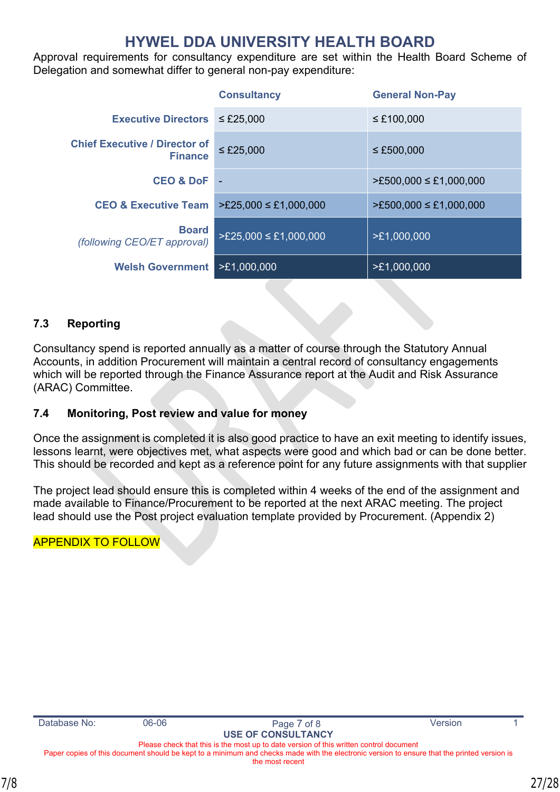Approval requirements for consultancy expenditure are set within the Health Board Scheme of Delegation and somewhat differ to general non-pay expenditure:

|                                                        | <b>Consultancy</b>               | <b>General Non-Pay</b>                     |
|--------------------------------------------------------|----------------------------------|--------------------------------------------|
| <b>Executive Directors</b>                             | $\leq$ £25,000                   | $\leq$ £100,000                            |
| <b>Chief Executive / Director of</b><br><b>Finance</b> | $\leq$ £25,000                   | ≤ £500,000                                 |
| <b>CEO &amp; DoF</b>                                   |                                  | $\textdegree$ = £500,000 $\leq$ £1,000,000 |
| <b>CEO &amp; Executive Team</b>                        | $\geq$ £25,000 $\leq$ £1,000,000 | $\textdegree$ = £500,000 $\leq$ £1,000,000 |
| <b>Board</b><br><i>(following CEO/ET approval)</i>     | $\geq$ £25,000 $\leq$ £1,000,000 | >E1,000,000                                |
| <b>Welsh Government</b>                                | $\geq$ £1,000,000                | >E1,000,000                                |

### **7.3 Reporting**

Consultancy spend is reported annually as a matter of course through the Statutory Annual Accounts, in addition Procurement will maintain a central record of consultancy engagements which will be reported through the Finance Assurance report at the Audit and Risk Assurance (ARAC) Committee.

### **7.4 Monitoring, Post review and value for money**

Once the assignment is completed it is also good practice to have an exit meeting to identify issues, lessons learnt, were objectives met, what aspects were good and which bad or can be done better. This should be recorded and kept as a reference point for any future assignments with that supplier

The project lead should ensure this is completed within 4 weeks of the end of the assignment and made available to Finance/Procurement to be reported at the next ARAC meeting. The project lead should use the Post project evaluation template provided by Procurement. (Appendix 2)

### APPENDIX TO FOLLOW